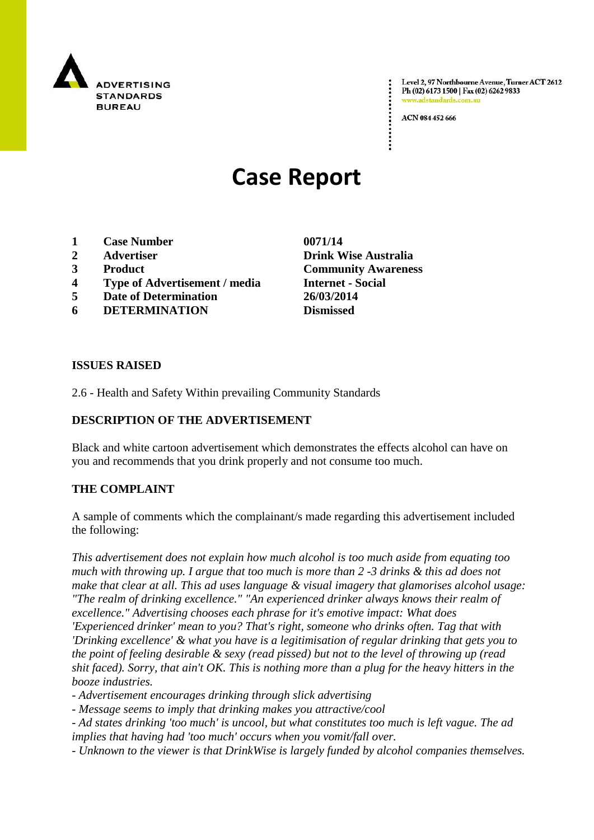

Level 2, 97 Northbourne Avenue, Turner ACT 2612 Ph (02) 6173 1500 | Fax (02) 6262 9833 adstandards.com.a

ACN 084 452 666

# **Case Report**

- **1 Case Number 0071/14**
- 
- 
- **4 Type of Advertisement / media Internet - Social**
- **5 Date of Determination 26/03/2014**
- **6 DETERMINATION Dismissed**

**2 Advertiser Drink Wise Australia 3 Product Community Awareness**

## **ISSUES RAISED**

2.6 - Health and Safety Within prevailing Community Standards

## **DESCRIPTION OF THE ADVERTISEMENT**

Black and white cartoon advertisement which demonstrates the effects alcohol can have on you and recommends that you drink properly and not consume too much.

# **THE COMPLAINT**

A sample of comments which the complainant/s made regarding this advertisement included the following:

*This advertisement does not explain how much alcohol is too much aside from equating too much with throwing up. I argue that too much is more than 2 -3 drinks & this ad does not make that clear at all. This ad uses language & visual imagery that glamorises alcohol usage: "The realm of drinking excellence." "An experienced drinker always knows their realm of excellence." Advertising chooses each phrase for it's emotive impact: What does 'Experienced drinker' mean to you? That's right, someone who drinks often. Tag that with 'Drinking excellence' & what you have is a legitimisation of regular drinking that gets you to the point of feeling desirable & sexy (read pissed) but not to the level of throwing up (read shit faced). Sorry, that ain't OK. This is nothing more than a plug for the heavy hitters in the booze industries.*

*- Advertisement encourages drinking through slick advertising*

*- Message seems to imply that drinking makes you attractive/cool*

*- Ad states drinking 'too much' is uncool, but what constitutes too much is left vague. The ad implies that having had 'too much' occurs when you vomit/fall over.*

*- Unknown to the viewer is that DrinkWise is largely funded by alcohol companies themselves.*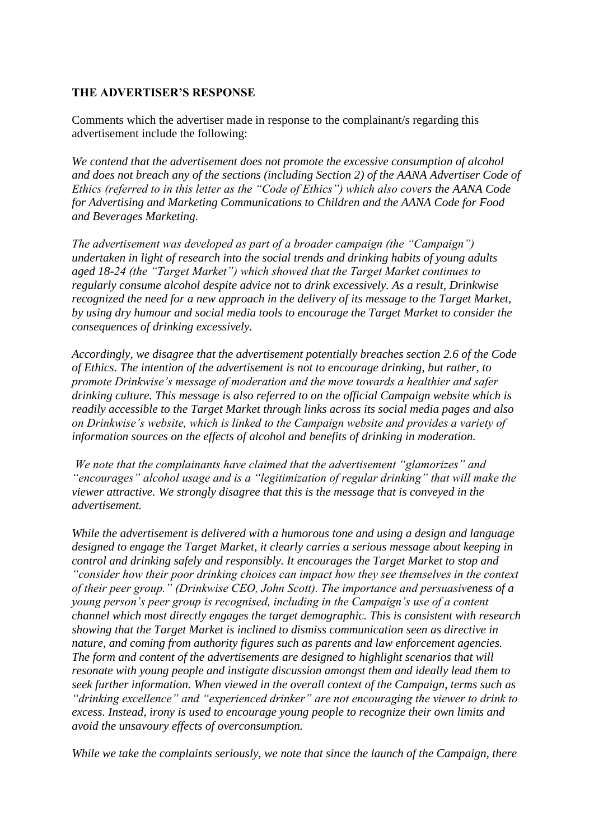## **THE ADVERTISER'S RESPONSE**

Comments which the advertiser made in response to the complainant/s regarding this advertisement include the following:

*We contend that the advertisement does not promote the excessive consumption of alcohol and does not breach any of the sections (including Section 2) of the AANA Advertiser Code of Ethics (referred to in this letter as the "Code of Ethics") which also covers the AANA Code for Advertising and Marketing Communications to Children and the AANA Code for Food and Beverages Marketing.* 

*The advertisement was developed as part of a broader campaign (the "Campaign") undertaken in light of research into the social trends and drinking habits of young adults aged 18-24 (the "Target Market") which showed that the Target Market continues to regularly consume alcohol despite advice not to drink excessively. As a result, Drinkwise recognized the need for a new approach in the delivery of its message to the Target Market, by using dry humour and social media tools to encourage the Target Market to consider the consequences of drinking excessively.* 

*Accordingly, we disagree that the advertisement potentially breaches section 2.6 of the Code of Ethics. The intention of the advertisement is not to encourage drinking, but rather, to promote Drinkwise"s message of moderation and the move towards a healthier and safer drinking culture. This message is also referred to on the official Campaign website which is readily accessible to the Target Market through links across its social media pages and also on Drinkwise"s website, which is linked to the Campaign website and provides a variety of information sources on the effects of alcohol and benefits of drinking in moderation.*

*We note that the complainants have claimed that the advertisement "glamorizes" and "encourages" alcohol usage and is a "legitimization of regular drinking" that will make the viewer attractive. We strongly disagree that this is the message that is conveyed in the advertisement.* 

*While the advertisement is delivered with a humorous tone and using a design and language designed to engage the Target Market, it clearly carries a serious message about keeping in control and drinking safely and responsibly. It encourages the Target Market to stop and "consider how their poor drinking choices can impact how they see themselves in the context of their peer group." (Drinkwise CEO, John Scott). The importance and persuasiveness of a young person"s peer group is recognised, including in the Campaign"s use of a content channel which most directly engages the target demographic. This is consistent with research showing that the Target Market is inclined to dismiss communication seen as directive in nature, and coming from authority figures such as parents and law enforcement agencies. The form and content of the advertisements are designed to highlight scenarios that will resonate with young people and instigate discussion amongst them and ideally lead them to seek further information. When viewed in the overall context of the Campaign, terms such as "drinking excellence" and "experienced drinker" are not encouraging the viewer to drink to excess. Instead, irony is used to encourage young people to recognize their own limits and avoid the unsavoury effects of overconsumption.* 

*While we take the complaints seriously, we note that since the launch of the Campaign, there*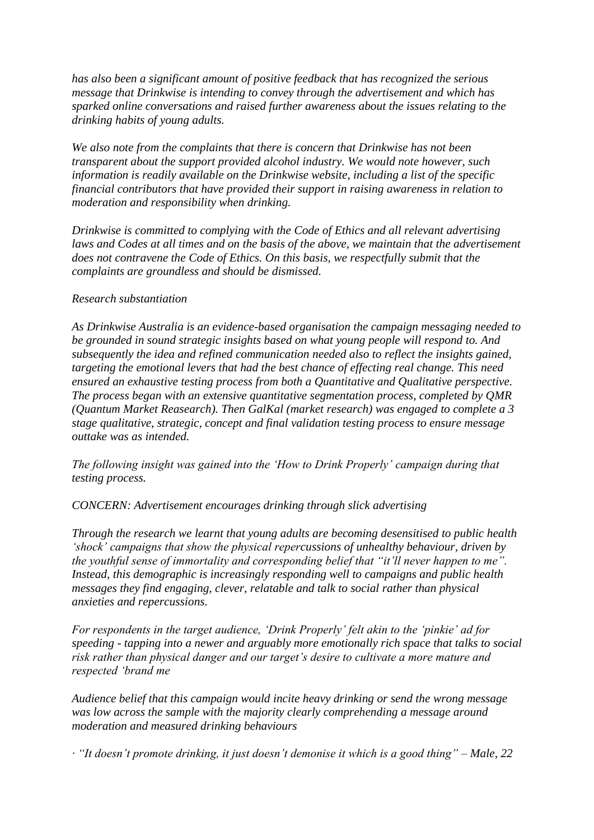*has also been a significant amount of positive feedback that has recognized the serious message that Drinkwise is intending to convey through the advertisement and which has sparked online conversations and raised further awareness about the issues relating to the drinking habits of young adults.*

*We also note from the complaints that there is concern that Drinkwise has not been transparent about the support provided alcohol industry. We would note however, such information is readily available on the Drinkwise website, including a list of the specific financial contributors that have provided their support in raising awareness in relation to moderation and responsibility when drinking.* 

*Drinkwise is committed to complying with the Code of Ethics and all relevant advertising*  laws and Codes at all times and on the basis of the above, we maintain that the advertisement *does not contravene the Code of Ethics. On this basis, we respectfully submit that the complaints are groundless and should be dismissed.* 

## *Research substantiation*

*As Drinkwise Australia is an evidence-based organisation the campaign messaging needed to be grounded in sound strategic insights based on what young people will respond to. And subsequently the idea and refined communication needed also to reflect the insights gained, targeting the emotional levers that had the best chance of effecting real change. This need ensured an exhaustive testing process from both a Quantitative and Qualitative perspective. The process began with an extensive quantitative segmentation process, completed by QMR (Quantum Market Reasearch). Then GalKal (market research) was engaged to complete a 3 stage qualitative, strategic, concept and final validation testing process to ensure message outtake was as intended.* 

*The following insight was gained into the "How to Drink Properly" campaign during that testing process.*

*CONCERN: Advertisement encourages drinking through slick advertising* 

*Through the research we learnt that young adults are becoming desensitised to public health "shock" campaigns that show the physical repercussions of unhealthy behaviour, driven by the youthful sense of immortality and corresponding belief that "it"ll never happen to me". Instead, this demographic is increasingly responding well to campaigns and public health messages they find engaging, clever, relatable and talk to social rather than physical anxieties and repercussions.* 

*For respondents in the target audience, "Drink Properly" felt akin to the "pinkie" ad for speeding - tapping into a newer and arguably more emotionally rich space that talks to social risk rather than physical danger and our target"s desire to cultivate a more mature and respected "brand me* 

*Audience belief that this campaign would incite heavy drinking or send the wrong message was low across the sample with the majority clearly comprehending a message around moderation and measured drinking behaviours* 

*· "It doesn"t promote drinking, it just doesn"t demonise it which is a good thing" – Male, 22*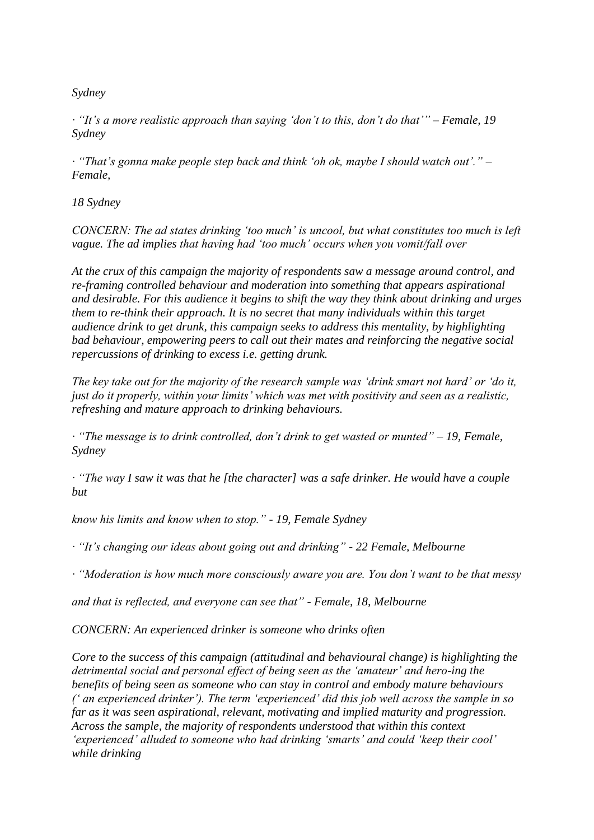*Sydney* 

*· "It"s a more realistic approach than saying "don"t to this, don"t do that"" – Female, 19 Sydney* 

*· "That"s gonna make people step back and think "oh ok, maybe I should watch out"." – Female,* 

*18 Sydney*

*CONCERN: The ad states drinking "too much" is uncool, but what constitutes too much is left vague. The ad implies that having had "too much" occurs when you vomit/fall over* 

*At the crux of this campaign the majority of respondents saw a message around control, and re-framing controlled behaviour and moderation into something that appears aspirational and desirable. For this audience it begins to shift the way they think about drinking and urges them to re-think their approach. It is no secret that many individuals within this target audience drink to get drunk, this campaign seeks to address this mentality, by highlighting bad behaviour, empowering peers to call out their mates and reinforcing the negative social repercussions of drinking to excess i.e. getting drunk.* 

*The key take out for the majority of the research sample was "drink smart not hard" or "do it, just do it properly, within your limits" which was met with positivity and seen as a realistic, refreshing and mature approach to drinking behaviours.* 

*· "The message is to drink controlled, don"t drink to get wasted or munted" – 19, Female, Sydney* 

*· "The way I saw it was that he [the character] was a safe drinker. He would have a couple but* 

*know his limits and know when to stop." - 19, Female Sydney* 

*· "It"s changing our ideas about going out and drinking" - 22 Female, Melbourne* 

*· "Moderation is how much more consciously aware you are. You don"t want to be that messy* 

*and that is reflected, and everyone can see that" - Female, 18, Melbourne*

*CONCERN: An experienced drinker is someone who drinks often* 

*Core to the success of this campaign (attitudinal and behavioural change) is highlighting the detrimental social and personal effect of being seen as the "amateur" and hero-ing the benefits of being seen as someone who can stay in control and embody mature behaviours (" an experienced drinker"). The term "experienced" did this job well across the sample in so far as it was seen aspirational, relevant, motivating and implied maturity and progression. Across the sample, the majority of respondents understood that within this context "experienced" alluded to someone who had drinking "smarts" and could "keep their cool" while drinking*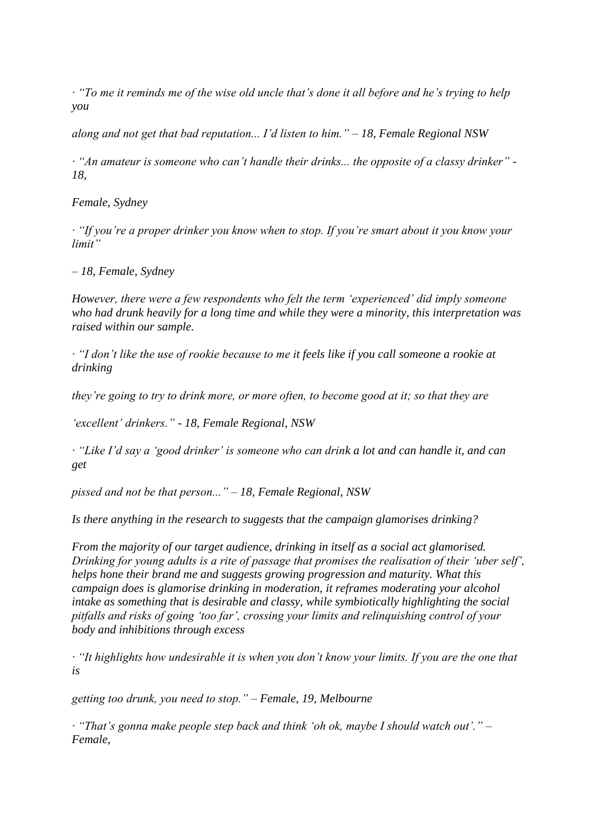*· "To me it reminds me of the wise old uncle that"s done it all before and he"s trying to help you* 

*along and not get that bad reputation... I"d listen to him." – 18, Female Regional NSW* 

*· "An amateur is someone who can"t handle their drinks... the opposite of a classy drinker" - 18,* 

*Female, Sydney* 

*· "If you"re a proper drinker you know when to stop. If you"re smart about it you know your limit"* 

*– 18, Female, Sydney* 

*However, there were a few respondents who felt the term "experienced" did imply someone who had drunk heavily for a long time and while they were a minority, this interpretation was raised within our sample.* 

*· "I don"t like the use of rookie because to me it feels like if you call someone a rookie at drinking* 

*they"re going to try to drink more, or more often, to become good at it; so that they are* 

*"excellent" drinkers." - 18, Female Regional, NSW* 

*· "Like I"d say a "good drinker" is someone who can drink a lot and can handle it, and can get* 

*pissed and not be that person..." – 18, Female Regional, NSW*

*Is there anything in the research to suggests that the campaign glamorises drinking?* 

*From the majority of our target audience, drinking in itself as a social act glamorised. Drinking for young adults is a rite of passage that promises the realisation of their "uber self", helps hone their brand me and suggests growing progression and maturity. What this campaign does is glamorise drinking in moderation, it reframes moderating your alcohol intake as something that is desirable and classy, while symbiotically highlighting the social pitfalls and risks of going "too far", crossing your limits and relinquishing control of your body and inhibitions through excess* 

*· "It highlights how undesirable it is when you don"t know your limits. If you are the one that is* 

*getting too drunk, you need to stop." – Female, 19, Melbourne* 

*· "That"s gonna make people step back and think "oh ok, maybe I should watch out"." – Female,*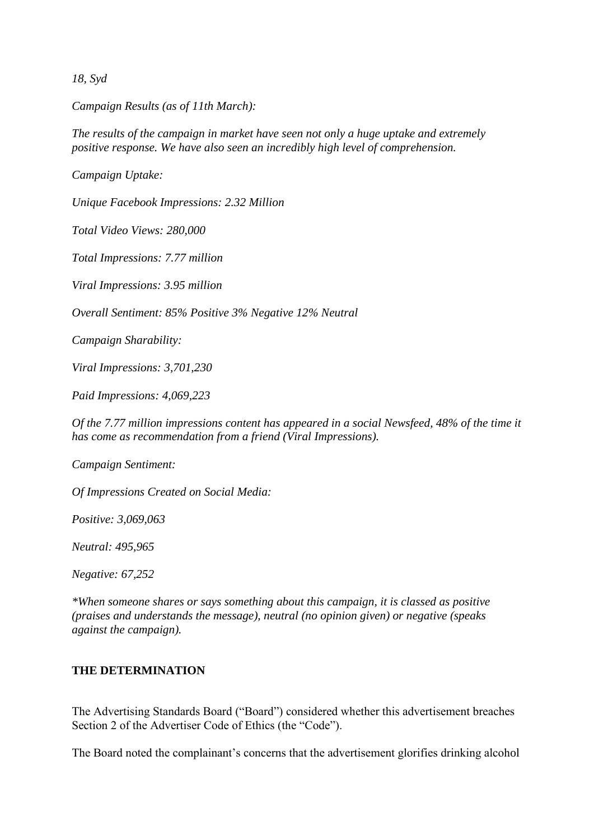*18, Syd*

*Campaign Results (as of 11th March):* 

*The results of the campaign in market have seen not only a huge uptake and extremely positive response. We have also seen an incredibly high level of comprehension.* 

*Campaign Uptake:* 

*Unique Facebook Impressions: 2.32 Million* 

*Total Video Views: 280,000* 

*Total Impressions: 7.77 million* 

*Viral Impressions: 3.95 million* 

*Overall Sentiment: 85% Positive 3% Negative 12% Neutral* 

*Campaign Sharability:* 

*Viral Impressions: 3,701,230* 

*Paid Impressions: 4,069,223* 

*Of the 7.77 million impressions content has appeared in a social Newsfeed, 48% of the time it has come as recommendation from a friend (Viral Impressions).* 

*Campaign Sentiment:* 

*Of Impressions Created on Social Media:* 

*Positive: 3,069,063* 

*Neutral: 495,965* 

*Negative: 67,252* 

*\*When someone shares or says something about this campaign, it is classed as positive (praises and understands the message), neutral (no opinion given) or negative (speaks against the campaign).*

## **THE DETERMINATION**

The Advertising Standards Board ("Board") considered whether this advertisement breaches Section 2 of the Advertiser Code of Ethics (the "Code").

The Board noted the complainant's concerns that the advertisement glorifies drinking alcohol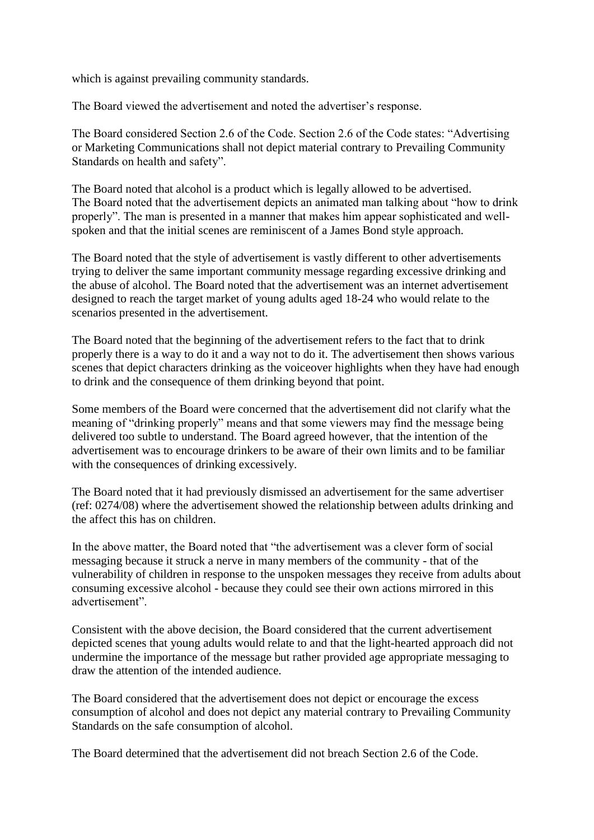which is against prevailing community standards.

The Board viewed the advertisement and noted the advertiser's response.

The Board considered Section 2.6 of the Code. Section 2.6 of the Code states: "Advertising or Marketing Communications shall not depict material contrary to Prevailing Community Standards on health and safety".

The Board noted that alcohol is a product which is legally allowed to be advertised. The Board noted that the advertisement depicts an animated man talking about "how to drink properly". The man is presented in a manner that makes him appear sophisticated and wellspoken and that the initial scenes are reminiscent of a James Bond style approach.

The Board noted that the style of advertisement is vastly different to other advertisements trying to deliver the same important community message regarding excessive drinking and the abuse of alcohol. The Board noted that the advertisement was an internet advertisement designed to reach the target market of young adults aged 18-24 who would relate to the scenarios presented in the advertisement.

The Board noted that the beginning of the advertisement refers to the fact that to drink properly there is a way to do it and a way not to do it. The advertisement then shows various scenes that depict characters drinking as the voiceover highlights when they have had enough to drink and the consequence of them drinking beyond that point.

Some members of the Board were concerned that the advertisement did not clarify what the meaning of "drinking properly" means and that some viewers may find the message being delivered too subtle to understand. The Board agreed however, that the intention of the advertisement was to encourage drinkers to be aware of their own limits and to be familiar with the consequences of drinking excessively.

The Board noted that it had previously dismissed an advertisement for the same advertiser (ref: 0274/08) where the advertisement showed the relationship between adults drinking and the affect this has on children.

In the above matter, the Board noted that "the advertisement was a clever form of social messaging because it struck a nerve in many members of the community - that of the vulnerability of children in response to the unspoken messages they receive from adults about consuming excessive alcohol - because they could see their own actions mirrored in this advertisement".

Consistent with the above decision, the Board considered that the current advertisement depicted scenes that young adults would relate to and that the light-hearted approach did not undermine the importance of the message but rather provided age appropriate messaging to draw the attention of the intended audience.

The Board considered that the advertisement does not depict or encourage the excess consumption of alcohol and does not depict any material contrary to Prevailing Community Standards on the safe consumption of alcohol.

The Board determined that the advertisement did not breach Section 2.6 of the Code.